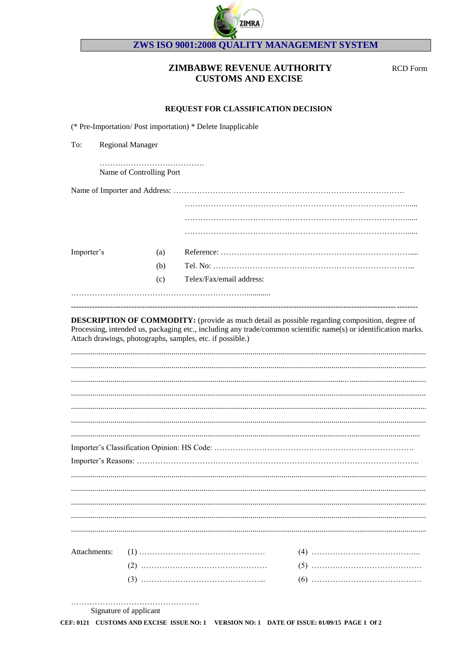

## ZWS ISO 9001:2008 QUALITY MANAGEMENT SYSTEM

## ZIMBABWE REVENUE AUTHORITY **CUSTOMS AND EXCISE**

**RCD** Form

## REQUEST FOR CLASSIFICATION DECISION

|              |                          | (* Pre-Importation/Post importation) * Delete Inapplicable |  |
|--------------|--------------------------|------------------------------------------------------------|--|
| To:          | <b>Regional Manager</b>  |                                                            |  |
|              | Name of Controlling Port |                                                            |  |
|              |                          |                                                            |  |
|              |                          |                                                            |  |
|              |                          |                                                            |  |
|              |                          |                                                            |  |
| Importer's   | (a)                      |                                                            |  |
|              | (b)                      |                                                            |  |
|              | (c)                      | Telex/Fax/email address:                                   |  |
|              |                          |                                                            |  |
|              |                          |                                                            |  |
|              |                          |                                                            |  |
|              |                          |                                                            |  |
|              |                          |                                                            |  |
|              |                          |                                                            |  |
|              |                          |                                                            |  |
|              |                          |                                                            |  |
|              |                          |                                                            |  |
| Attachments: |                          |                                                            |  |
|              |                          |                                                            |  |
|              |                          |                                                            |  |
|              |                          |                                                            |  |

Signature of applicant